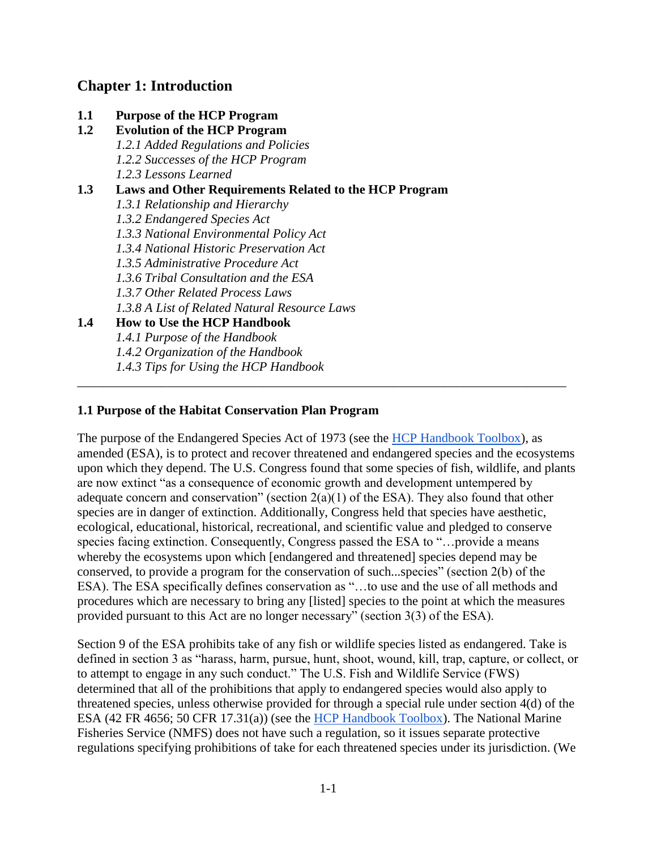# **Chapter 1: Introduction**

**1.1 Purpose of the HCP Program 1.2 Evolution of the HCP Program** *1.2.1 Added Regulations and Policies 1.2.2 Successes of the HCP Program 1.2.3 Lessons Learned* **1.3 Laws and Other Requirements Related to the HCP Program**  *1.3.1 Relationship and Hierarchy 1.3.2 Endangered Species Act 1.3.3 National Environmental Policy Act 1.3.4 National Historic Preservation Act 1.3.5 Administrative Procedure Act 1.3.6 Tribal Consultation and the ESA 1.3.7 Other Related Process Laws 1.3.8 A List of Related Natural Resource Laws* **1.4 How to Use the HCP Handbook** *1.4.1 Purpose of the Handbook 1.4.2 Organization of the Handbook 1.4.3 Tips for Using the HCP Handbook*

# **1.1 Purpose of the Habitat Conservation Plan Program**

The purpose of the Endangered Species Act of 1973 (see the [HCP Handbook Toolbox\)](https://www.fws.gov/endangered/what-we-do/hcp-handbook-toolbox.html#Ch1), as amended (ESA), is to protect and recover threatened and endangered species and the ecosystems upon which they depend. The U.S. Congress found that some species of fish, wildlife, and plants are now extinct "as a consequence of economic growth and development untempered by adequate concern and conservation" (section  $2(a)(1)$  of the ESA). They also found that other species are in danger of extinction. Additionally, Congress held that species have aesthetic, ecological, educational, historical, recreational, and scientific value and pledged to conserve species facing extinction. Consequently, Congress passed the ESA to "…provide a means whereby the ecosystems upon which [endangered and threatened] species depend may be conserved, to provide a program for the conservation of such...species" (section 2(b) of the ESA). The ESA specifically defines conservation as "…to use and the use of all methods and procedures which are necessary to bring any [listed] species to the point at which the measures provided pursuant to this Act are no longer necessary" (section 3(3) of the ESA).

\_\_\_\_\_\_\_\_\_\_\_\_\_\_\_\_\_\_\_\_\_\_\_\_\_\_\_\_\_\_\_\_\_\_\_\_\_\_\_\_\_\_\_\_\_\_\_\_\_\_\_\_\_\_\_\_\_\_\_\_\_\_\_\_\_\_\_\_\_\_\_\_\_\_\_\_

Section 9 of the ESA prohibits take of any fish or wildlife species listed as endangered. Take is defined in section 3 as "harass, harm, pursue, hunt, shoot, wound, kill, trap, capture, or collect, or to attempt to engage in any such conduct." The U.S. Fish and Wildlife Service (FWS) determined that all of the prohibitions that apply to endangered species would also apply to threatened species, unless otherwise provided for through a special rule under section 4(d) of the ESA (42 FR 4656; 50 CFR 17.31(a)) (see the [HCP Handbook Toolbox\)](https://www.fws.gov/endangered/what-we-do/hcp-handbook-toolbox.html#Ch1). The National Marine Fisheries Service (NMFS) does not have such a regulation, so it issues separate protective regulations specifying prohibitions of take for each threatened species under its jurisdiction. (We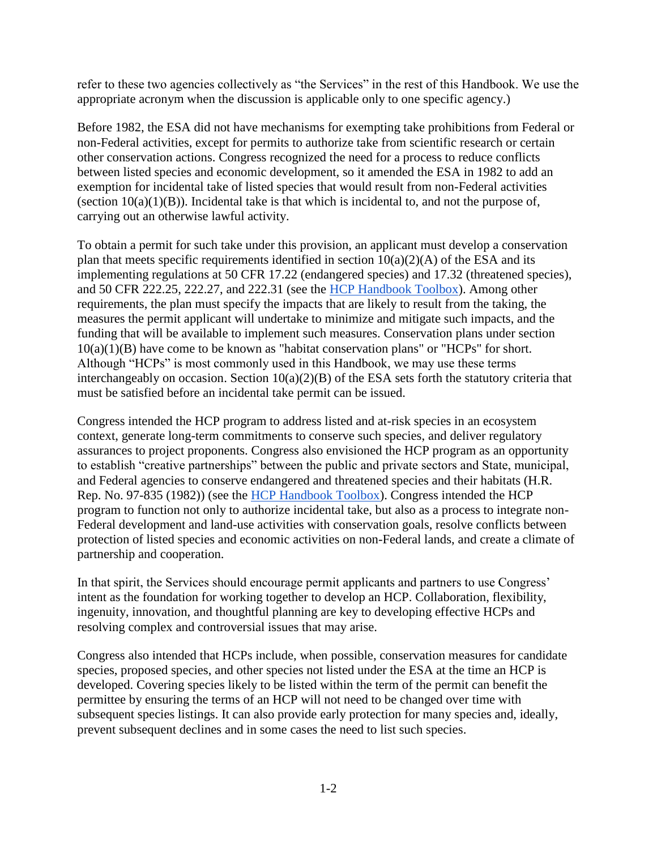refer to these two agencies collectively as "the Services" in the rest of this Handbook. We use the appropriate acronym when the discussion is applicable only to one specific agency.)

Before 1982, the ESA did not have mechanisms for exempting take prohibitions from Federal or non-Federal activities, except for permits to authorize take from scientific research or certain other conservation actions. Congress recognized the need for a process to reduce conflicts between listed species and economic development, so it amended the ESA in 1982 to add an exemption for incidental take of listed species that would result from non-Federal activities (section  $10(a)(1)(B)$ ). Incidental take is that which is incidental to, and not the purpose of, carrying out an otherwise lawful activity.

To obtain a permit for such take under this provision, an applicant must develop a conservation plan that meets specific requirements identified in section  $10(a)(2)(A)$  of the ESA and its implementing regulations at 50 CFR 17.22 (endangered species) and 17.32 (threatened species), and 50 CFR 222.25, 222.27, and 222.31 (see the [HCP Handbook Toolbox\)](https://www.fws.gov/endangered/what-we-do/hcp-handbook-toolbox.html#Ch1). Among other requirements, the plan must specify the impacts that are likely to result from the taking, the measures the permit applicant will undertake to minimize and mitigate such impacts, and the funding that will be available to implement such measures. Conservation plans under section  $10(a)(1)(B)$  have come to be known as "habitat conservation plans" or "HCPs" for short. Although "HCPs" is most commonly used in this Handbook, we may use these terms interchangeably on occasion. Section 10(a)(2)(B) of the ESA sets forth the statutory criteria that must be satisfied before an incidental take permit can be issued.

Congress intended the HCP program to address listed and at-risk species in an ecosystem context, generate long-term commitments to conserve such species, and deliver regulatory assurances to project proponents. Congress also envisioned the HCP program as an opportunity to establish "creative partnerships" between the public and private sectors and State, municipal, and Federal agencies to conserve endangered and threatened species and their habitats (H.R. Rep. No. 97-835 (1982)) (see the [HCP Handbook Toolbox\)](https://www.fws.gov/endangered/what-we-do/hcp-handbook-toolbox.html#Ch1). Congress intended the HCP program to function not only to authorize incidental take, but also as a process to integrate non-Federal development and land-use activities with conservation goals, resolve conflicts between protection of listed species and economic activities on non-Federal lands, and create a climate of partnership and cooperation.

In that spirit, the Services should encourage permit applicants and partners to use Congress' intent as the foundation for working together to develop an HCP. Collaboration, flexibility, ingenuity, innovation, and thoughtful planning are key to developing effective HCPs and resolving complex and controversial issues that may arise.

Congress also intended that HCPs include, when possible, conservation measures for candidate species, proposed species, and other species not listed under the ESA at the time an HCP is developed. Covering species likely to be listed within the term of the permit can benefit the permittee by ensuring the terms of an HCP will not need to be changed over time with subsequent species listings. It can also provide early protection for many species and, ideally, prevent subsequent declines and in some cases the need to list such species.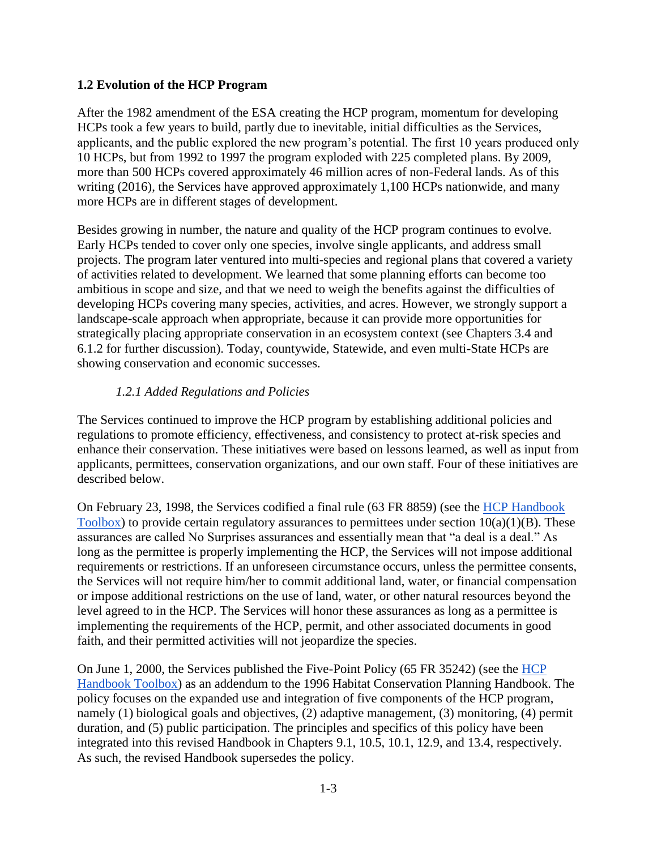### **1.2 Evolution of the HCP Program**

After the 1982 amendment of the ESA creating the HCP program, momentum for developing HCPs took a few years to build, partly due to inevitable, initial difficulties as the Services, applicants, and the public explored the new program's potential. The first 10 years produced only 10 HCPs, but from 1992 to 1997 the program exploded with 225 completed plans. By 2009, more than 500 HCPs covered approximately 46 million acres of non-Federal lands. As of this writing (2016), the Services have approved approximately 1,100 HCPs nationwide, and many more HCPs are in different stages of development.

Besides growing in number, the nature and quality of the HCP program continues to evolve. Early HCPs tended to cover only one species, involve single applicants, and address small projects. The program later ventured into multi-species and regional plans that covered a variety of activities related to development. We learned that some planning efforts can become too ambitious in scope and size, and that we need to weigh the benefits against the difficulties of developing HCPs covering many species, activities, and acres. However, we strongly support a landscape-scale approach when appropriate, because it can provide more opportunities for strategically placing appropriate conservation in an ecosystem context (see Chapters 3.4 and 6.1.2 for further discussion). Today, countywide, Statewide, and even multi-State HCPs are showing conservation and economic successes.

### *1.2.1 Added Regulations and Policies*

The Services continued to improve the HCP program by establishing additional policies and regulations to promote efficiency, effectiveness, and consistency to protect at-risk species and enhance their conservation. These initiatives were based on lessons learned, as well as input from applicants, permittees, conservation organizations, and our own staff. Four of these initiatives are described below.

On February 23, 1998, the Services codified a final rule (63 FR 8859) (see the [HCP Handbook](https://www.fws.gov/endangered/what-we-do/hcp-handbook-toolbox.html#Ch1)  [Toolbox\)](https://www.fws.gov/endangered/what-we-do/hcp-handbook-toolbox.html#Ch1) to provide certain regulatory assurances to permittees under section  $10(a)(1)(B)$ . These assurances are called No Surprises assurances and essentially mean that "a deal is a deal." As long as the permittee is properly implementing the HCP, the Services will not impose additional requirements or restrictions. If an unforeseen circumstance occurs, unless the permittee consents, the Services will not require him/her to commit additional land, water, or financial compensation or impose additional restrictions on the use of land, water, or other natural resources beyond the level agreed to in the HCP. The Services will honor these assurances as long as a permittee is implementing the requirements of the HCP, permit, and other associated documents in good faith, and their permitted activities will not jeopardize the species.

On June 1, 2000, the Services published the Five-Point Policy (65 FR 35242) (see the [HCP](https://www.fws.gov/endangered/what-we-do/hcp-handbook-toolbox.html#Ch1)  [Handbook Toolbox\)](https://www.fws.gov/endangered/what-we-do/hcp-handbook-toolbox.html#Ch1) as an addendum to the 1996 Habitat Conservation Planning Handbook. The policy focuses on the expanded use and integration of five components of the HCP program, namely (1) biological goals and objectives, (2) adaptive management, (3) monitoring, (4) permit duration, and (5) public participation. The principles and specifics of this policy have been integrated into this revised Handbook in Chapters 9.1, 10.5, 10.1, 12.9, and 13.4, respectively. As such, the revised Handbook supersedes the policy.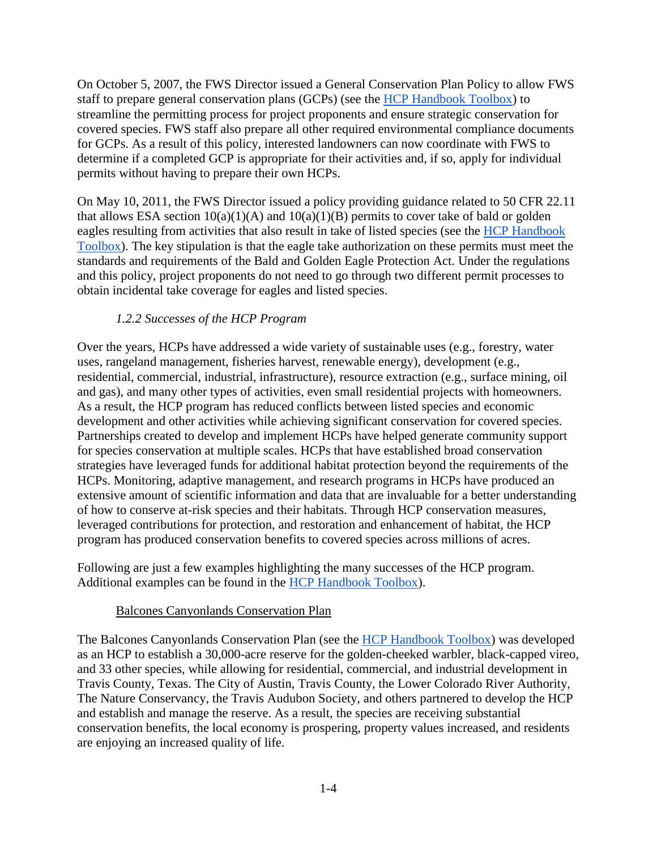On October 5, 2007, the FWS Director issued a General Conservation Plan Policy to allow FWS staff to prepare general conservation plans (GCPs) (see the [HCP Handbook Toolbox\)](https://www.fws.gov/endangered/what-we-do/hcp-handbook-toolbox.html#Ch1) to streamline the permitting process for project proponents and ensure strategic conservation for covered species. FWS staff also prepare all other required environmental compliance documents for GCPs. As a result of this policy, interested landowners can now coordinate with FWS to determine if a completed GCP is appropriate for their activities and, if so, apply for individual permits without having to prepare their own HCPs.

On May 10, 2011, the FWS Director issued a policy providing guidance related to 50 CFR 22.11 that allows ESA section  $10(a)(1)(A)$  and  $10(a)(1)(B)$  permits to cover take of bald or golden eagles resulting from activities that also result in take of listed species (see the [HCP Handbook](https://www.fws.gov/endangered/what-we-do/hcp-handbook-toolbox.html#Ch1)  [Toolbox\)](https://www.fws.gov/endangered/what-we-do/hcp-handbook-toolbox.html#Ch1). The key stipulation is that the eagle take authorization on these permits must meet the standards and requirements of the Bald and Golden Eagle Protection Act. Under the regulations and this policy, project proponents do not need to go through two different permit processes to obtain incidental take coverage for eagles and listed species.

### *1.2.2 Successes of the HCP Program*

Over the years, HCPs have addressed a wide variety of sustainable uses (e.g., forestry, water uses, rangeland management, fisheries harvest, renewable energy), development (e.g., residential, commercial, industrial, infrastructure), resource extraction (e.g., surface mining, oil and gas), and many other types of activities, even small residential projects with homeowners. As a result, the HCP program has reduced conflicts between listed species and economic development and other activities while achieving significant conservation for covered species. Partnerships created to develop and implement HCPs have helped generate community support for species conservation at multiple scales. HCPs that have established broad conservation strategies have leveraged funds for additional habitat protection beyond the requirements of the HCPs. Monitoring, adaptive management, and research programs in HCPs have produced an extensive amount of scientific information and data that are invaluable for a better understanding of how to conserve at-risk species and their habitats. Through HCP conservation measures, leveraged contributions for protection, and restoration and enhancement of habitat, the HCP program has produced conservation benefits to covered species across millions of acres.

Following are just a few examples highlighting the many successes of the HCP program. Additional examples can be found in the [HCP Handbook Toolbox\)](https://www.fws.gov/endangered/what-we-do/hcp-handbook-toolbox.html#Ch1).

#### Balcones Canyonlands Conservation Plan

The Balcones Canyonlands Conservation Plan (see the [HCP Handbook Toolbox\)](https://www.fws.gov/endangered/what-we-do/hcp-handbook-toolbox.html#Ch1) was developed as an HCP to establish a 30,000-acre reserve for the golden-cheeked warbler, black-capped vireo, and 33 other species, while allowing for residential, commercial, and industrial development in Travis County, Texas. The City of Austin, Travis County, the Lower Colorado River Authority, The Nature Conservancy, the Travis Audubon Society, and others partnered to develop the HCP and establish and manage the reserve. As a result, the species are receiving substantial conservation benefits, the local economy is prospering, property values increased, and residents are enjoying an increased quality of life.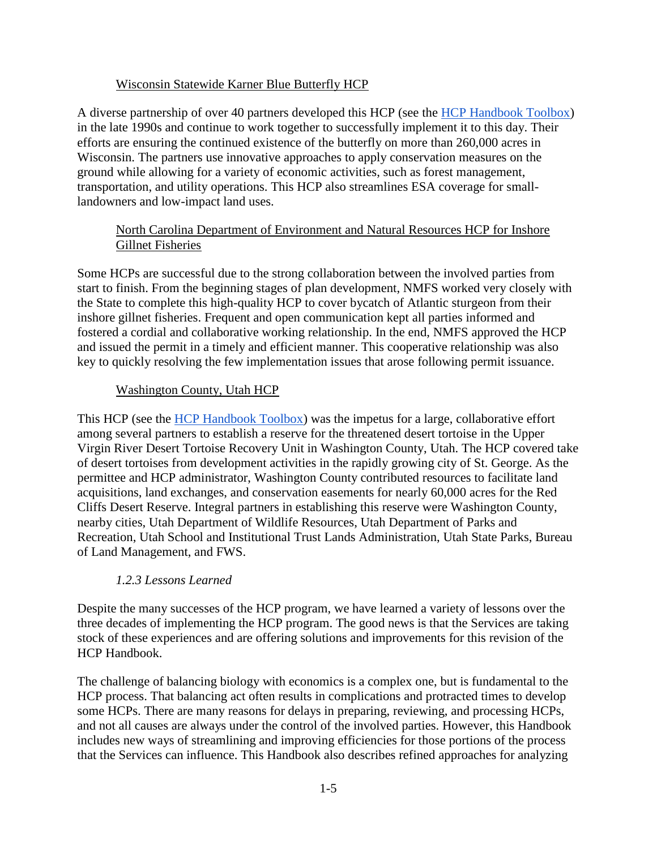### Wisconsin Statewide Karner Blue Butterfly HCP

A diverse partnership of over 40 partners developed this HCP (see the [HCP Handbook Toolbox\)](https://www.fws.gov/endangered/what-we-do/hcp-handbook-toolbox.html#Ch1) in the late 1990s and continue to work together to successfully implement it to this day. Their efforts are ensuring the continued existence of the butterfly on more than 260,000 acres in Wisconsin. The partners use innovative approaches to apply conservation measures on the ground while allowing for a variety of economic activities, such as forest management, transportation, and utility operations. This HCP also streamlines ESA coverage for smalllandowners and low-impact land uses.

### North Carolina Department of Environment and Natural Resources HCP for Inshore Gillnet Fisheries

Some HCPs are successful due to the strong collaboration between the involved parties from start to finish. From the beginning stages of plan development, NMFS worked very closely with the State to complete this high-quality HCP to cover bycatch of Atlantic sturgeon from their inshore gillnet fisheries. Frequent and open communication kept all parties informed and fostered a cordial and collaborative working relationship. In the end, NMFS approved the HCP and issued the permit in a timely and efficient manner. This cooperative relationship was also key to quickly resolving the few implementation issues that arose following permit issuance.

### Washington County, Utah HCP

This HCP (see the [HCP Handbook Toolbox\)](https://www.fws.gov/endangered/what-we-do/hcp-handbook-toolbox.html#Ch1) was the impetus for a large, collaborative effort among several partners to establish a reserve for the threatened desert tortoise in the Upper Virgin River Desert Tortoise Recovery Unit in Washington County, Utah. The HCP covered take of desert tortoises from development activities in the rapidly growing city of St. George. As the permittee and HCP administrator, Washington County contributed resources to facilitate land acquisitions, land exchanges, and conservation easements for nearly 60,000 acres for the Red Cliffs Desert Reserve. Integral partners in establishing this reserve were Washington County, nearby cities, Utah Department of Wildlife Resources, Utah Department of Parks and Recreation, Utah School and Institutional Trust Lands Administration, Utah State Parks, Bureau of Land Management, and FWS.

### *1.2.3 Lessons Learned*

Despite the many successes of the HCP program, we have learned a variety of lessons over the three decades of implementing the HCP program. The good news is that the Services are taking stock of these experiences and are offering solutions and improvements for this revision of the HCP Handbook.

The challenge of balancing biology with economics is a complex one, but is fundamental to the HCP process. That balancing act often results in complications and protracted times to develop some HCPs. There are many reasons for delays in preparing, reviewing, and processing HCPs, and not all causes are always under the control of the involved parties. However, this Handbook includes new ways of streamlining and improving efficiencies for those portions of the process that the Services can influence. This Handbook also describes refined approaches for analyzing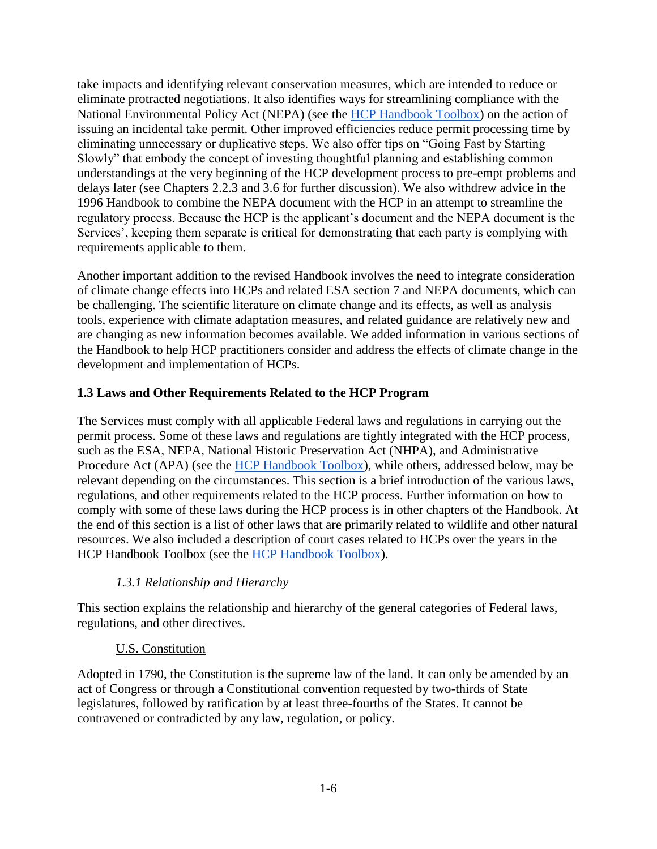take impacts and identifying relevant conservation measures, which are intended to reduce or eliminate protracted negotiations. It also identifies ways for streamlining compliance with the National Environmental Policy Act (NEPA) (see the [HCP Handbook Toolbox\)](https://www.fws.gov/endangered/what-we-do/hcp-handbook-toolbox.html#Ch1) on the action of issuing an incidental take permit. Other improved efficiencies reduce permit processing time by eliminating unnecessary or duplicative steps. We also offer tips on "Going Fast by Starting Slowly" that embody the concept of investing thoughtful planning and establishing common understandings at the very beginning of the HCP development process to pre-empt problems and delays later (see Chapters 2.2.3 and 3.6 for further discussion). We also withdrew advice in the 1996 Handbook to combine the NEPA document with the HCP in an attempt to streamline the regulatory process. Because the HCP is the applicant's document and the NEPA document is the Services', keeping them separate is critical for demonstrating that each party is complying with requirements applicable to them.

Another important addition to the revised Handbook involves the need to integrate consideration of climate change effects into HCPs and related ESA section 7 and NEPA documents, which can be challenging. The scientific literature on climate change and its effects, as well as analysis tools, experience with climate adaptation measures, and related guidance are relatively new and are changing as new information becomes available. We added information in various sections of the Handbook to help HCP practitioners consider and address the effects of climate change in the development and implementation of HCPs.

### **1.3 Laws and Other Requirements Related to the HCP Program**

The Services must comply with all applicable Federal laws and regulations in carrying out the permit process. Some of these laws and regulations are tightly integrated with the HCP process, such as the ESA, NEPA, National Historic Preservation Act (NHPA), and Administrative Procedure Act (APA) (see the [HCP Handbook Toolbox\)](https://www.fws.gov/endangered/what-we-do/hcp-handbook-toolbox.html#Ch1), while others, addressed below, may be relevant depending on the circumstances. This section is a brief introduction of the various laws, regulations, and other requirements related to the HCP process. Further information on how to comply with some of these laws during the HCP process is in other chapters of the Handbook. At the end of this section is a list of other laws that are primarily related to wildlife and other natural resources. We also included a description of court cases related to HCPs over the years in the HCP Handbook Toolbox (see the [HCP Handbook Toolbox\)](https://www.fws.gov/endangered/what-we-do/hcp-handbook-toolbox.html#Ch1).

# *1.3.1 Relationship and Hierarchy*

This section explains the relationship and hierarchy of the general categories of Federal laws, regulations, and other directives.

### U.S. Constitution

Adopted in 1790, the Constitution is the supreme law of the land. It can only be amended by an act of Congress or through a Constitutional convention requested by two-thirds of State legislatures, followed by ratification by at least three-fourths of the States. It cannot be contravened or contradicted by any law, regulation, or policy.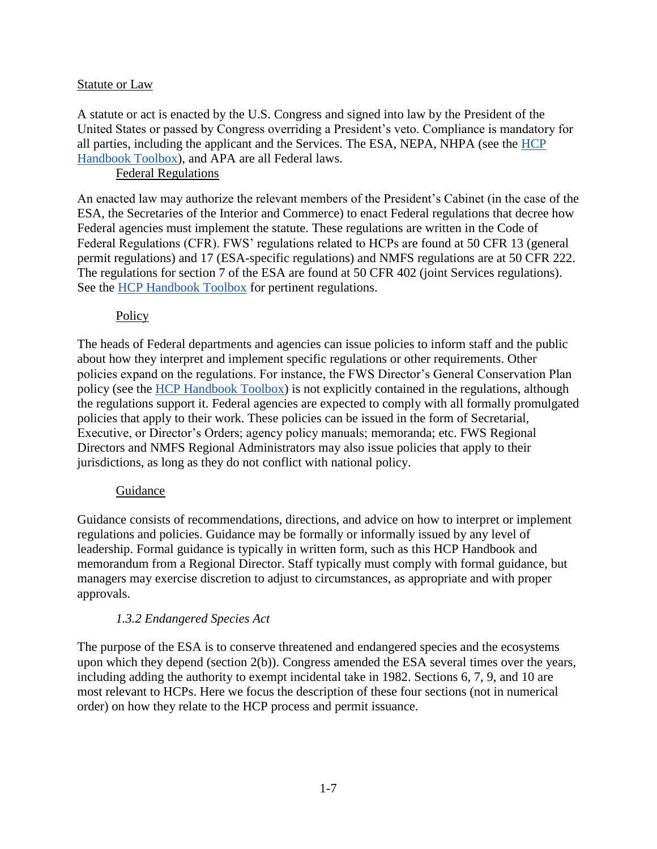#### Statute or Law

A statute or act is enacted by the U.S. Congress and signed into law by the President of the United States or passed by Congress overriding a President's veto. Compliance is mandatory for all parties, including the applicant and the Services. The ESA, NEPA, NHPA (see the [HCP](https://www.fws.gov/endangered/what-we-do/hcp-handbook-toolbox.html#Ch1)  [Handbook Toolbox\)](https://www.fws.gov/endangered/what-we-do/hcp-handbook-toolbox.html#Ch1), and APA are all Federal laws.

### Federal Regulations

An enacted law may authorize the relevant members of the President's Cabinet (in the case of the ESA, the Secretaries of the Interior and Commerce) to enact Federal regulations that decree how Federal agencies must implement the statute. These regulations are written in the Code of Federal Regulations (CFR). FWS' regulations related to HCPs are found at 50 CFR 13 (general permit regulations) and 17 (ESA-specific regulations) and NMFS regulations are at 50 CFR 222. The regulations for section 7 of the ESA are found at 50 CFR 402 (joint Services regulations). See the [HCP](https://www.fws.gov/endangered/what-we-do/hcp-handbook-toolbox.html#Ch1) [Handbook Toolbox](https://www.fws.gov/endangered/what-we-do/hcp-handbook-toolbox.html#Ch1) for pertinent regulations.

### Policy

The heads of Federal departments and agencies can issue policies to inform staff and the public about how they interpret and implement specific regulations or other requirements. Other policies expand on the regulations. For instance, the FWS Director's General Conservation Plan policy (see the [HCP Handbook Toolbox\)](https://www.fws.gov/endangered/what-we-do/hcp-handbook-toolbox.html#Ch1) is not explicitly contained in the regulations, although the regulations support it. Federal agencies are expected to comply with all formally promulgated policies that apply to their work. These policies can be issued in the form of Secretarial, Executive, or Director's Orders; agency policy manuals; memoranda; etc. FWS Regional Directors and NMFS Regional Administrators may also issue policies that apply to their jurisdictions, as long as they do not conflict with national policy.

#### Guidance

Guidance consists of recommendations, directions, and advice on how to interpret or implement regulations and policies. Guidance may be formally or informally issued by any level of leadership. Formal guidance is typically in written form, such as this HCP Handbook and memorandum from a Regional Director. Staff typically must comply with formal guidance, but managers may exercise discretion to adjust to circumstances, as appropriate and with proper approvals.

### *1.3.2 Endangered Species Act*

The purpose of the ESA is to conserve threatened and endangered species and the ecosystems upon which they depend (section 2(b)). Congress amended the ESA several times over the years, including adding the authority to exempt incidental take in 1982. Sections 6, 7, 9, and 10 are most relevant to HCPs. Here we focus the description of these four sections (not in numerical order) on how they relate to the HCP process and permit issuance.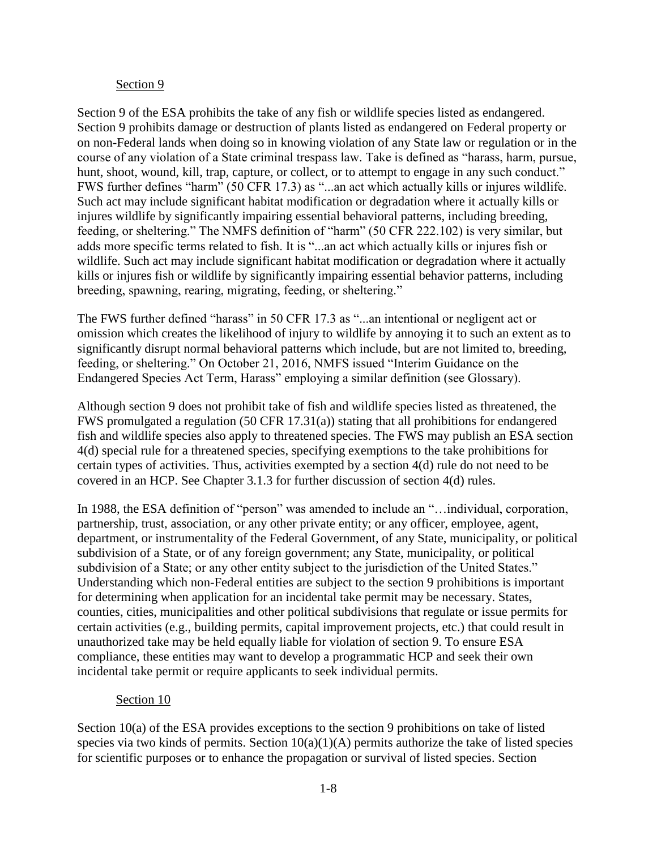#### Section 9

Section 9 of the ESA prohibits the take of any fish or wildlife species listed as endangered. Section 9 prohibits damage or destruction of plants listed as endangered on Federal property or on non-Federal lands when doing so in knowing violation of any State law or regulation or in the course of any violation of a State criminal trespass law. Take is defined as "harass, harm, pursue, hunt, shoot, wound, kill, trap, capture, or collect, or to attempt to engage in any such conduct." FWS further defines "harm" (50 CFR 17.3) as "...an act which actually kills or injures wildlife. Such act may include significant habitat modification or degradation where it actually kills or injures wildlife by significantly impairing essential behavioral patterns, including breeding, feeding, or sheltering." The NMFS definition of "harm" (50 CFR 222.102) is very similar, but adds more specific terms related to fish. It is "...an act which actually kills or injures fish or wildlife. Such act may include significant habitat modification or degradation where it actually kills or injures fish or wildlife by significantly impairing essential behavior patterns, including breeding, spawning, rearing, migrating, feeding, or sheltering."

The FWS further defined "harass" in 50 CFR 17.3 as "...an intentional or negligent act or omission which creates the likelihood of injury to wildlife by annoying it to such an extent as to significantly disrupt normal behavioral patterns which include, but are not limited to, breeding, feeding, or sheltering." On October 21, 2016, NMFS issued "Interim Guidance on the Endangered Species Act Term, Harass" employing a similar definition (see Glossary).

Although section 9 does not prohibit take of fish and wildlife species listed as threatened, the FWS promulgated a regulation (50 CFR 17.31(a)) stating that all prohibitions for endangered fish and wildlife species also apply to threatened species. The FWS may publish an ESA section 4(d) special rule for a threatened species, specifying exemptions to the take prohibitions for certain types of activities. Thus, activities exempted by a section 4(d) rule do not need to be covered in an HCP. See Chapter 3.1.3 for further discussion of section 4(d) rules.

In 1988, the ESA definition of "person" was amended to include an "...individual, corporation, partnership, trust, association, or any other private entity; or any officer, employee, agent, department, or instrumentality of the Federal Government, of any State, municipality, or political subdivision of a State, or of any foreign government; any State, municipality, or political subdivision of a State; or any other entity subject to the jurisdiction of the United States." Understanding which non-Federal entities are subject to the section 9 prohibitions is important for determining when application for an incidental take permit may be necessary. States, counties, cities, municipalities and other political subdivisions that regulate or issue permits for certain activities (e.g., building permits, capital improvement projects, etc.) that could result in unauthorized take may be held equally liable for violation of section 9. To ensure ESA compliance, these entities may want to develop a programmatic HCP and seek their own incidental take permit or require applicants to seek individual permits.

#### Section 10

Section 10(a) of the ESA provides exceptions to the section 9 prohibitions on take of listed species via two kinds of permits. Section  $10(a)(1)(A)$  permits authorize the take of listed species for scientific purposes or to enhance the propagation or survival of listed species. Section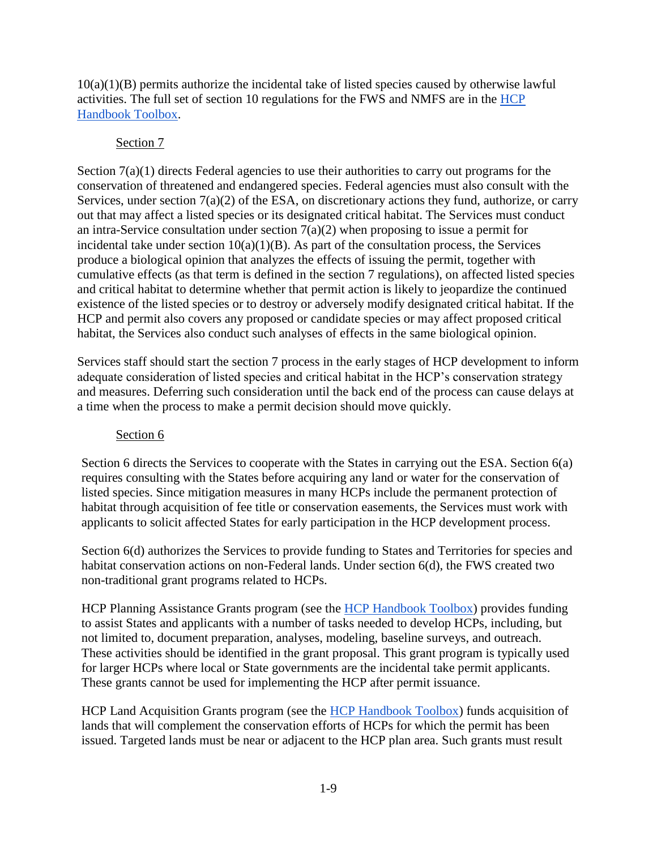10(a)(1)(B) permits authorize the incidental take of listed species caused by otherwise lawful activities. The full set of section 10 regulations for the FWS and NMFS are in the [HCP](https://www.fws.gov/endangered/what-we-do/hcp-handbook-toolbox.html#Ch1)  [Handbook Toolbox.](https://www.fws.gov/endangered/what-we-do/hcp-handbook-toolbox.html#Ch1)

### Section 7

Section 7(a)(1) directs Federal agencies to use their authorities to carry out programs for the conservation of [threatened and endangered species.](http://www.nmfs.noaa.gov/pr/species/esa/) Federal agencies must also consult with the Services, under section 7(a)(2) of the ESA, on discretionary actions they fund, authorize, or carry out that may affect a listed species or its designated critical habitat. The Services must conduct an intra-Service consultation under section  $7(a)(2)$  when proposing to issue a permit for incidental take under section  $10(a)(1)(B)$ . As part of the consultation process, the Services produce a biological opinion that analyzes the effects of issuing the permit, together with cumulative effects (as that term is defined in the section 7 regulations), on affected listed species and critical habitat to determine whether that permit action is likely to jeopardize the continued existence of the listed species or to destroy or adversely modify designated critical habitat. If the HCP and permit also covers any proposed or candidate species or may affect proposed critical habitat, the Services also conduct such analyses of effects in the same biological opinion.

Services staff should start the section 7 process in the early stages of HCP development to inform adequate consideration of listed species and critical habitat in the HCP's conservation strategy and measures. Deferring such consideration until the back end of the process can cause delays at a time when the process to make a permit decision should move quickly.

### Section 6

Section 6 directs the Services to cooperate with the States in carrying out the ESA. Section 6(a) requires consulting with the States before acquiring any land or water for the conservation of listed species. Since mitigation measures in many HCPs include the permanent protection of habitat through acquisition of fee title or conservation easements, the Services must work with applicants to solicit affected States for early participation in the HCP development process.

Section  $6(d)$  authorizes the Services to provide funding to States and Territories for species and habitat conservation actions on non-Federal lands. Under section 6(d), the FWS created two non-traditional grant programs related to HCPs.

HCP Planning Assistance Grants program (see the [HCP Handbook](https://www.fws.gov/endangered/what-we-do/hcp-handbook-toolbox.html#Ch1) Toolbox) provides funding to assist States and applicants with a number of tasks needed to develop HCPs, including, but not limited to, document preparation, analyses, modeling, baseline surveys, and outreach. These activities should be identified in the grant proposal. This grant program is typically used for larger HCPs where local or State governments are the incidental take permit applicants. These grants cannot be used for implementing the HCP after permit issuance.

HCP Land Acquisition Grants program (see the [HCP Handbook Toolbox\)](https://www.fws.gov/endangered/what-we-do/hcp-handbook-toolbox.html#Ch1) funds acquisition of lands that will complement the conservation efforts of HCPs for which the permit has been issued. Targeted lands must be near or adjacent to the HCP plan area. Such grants must result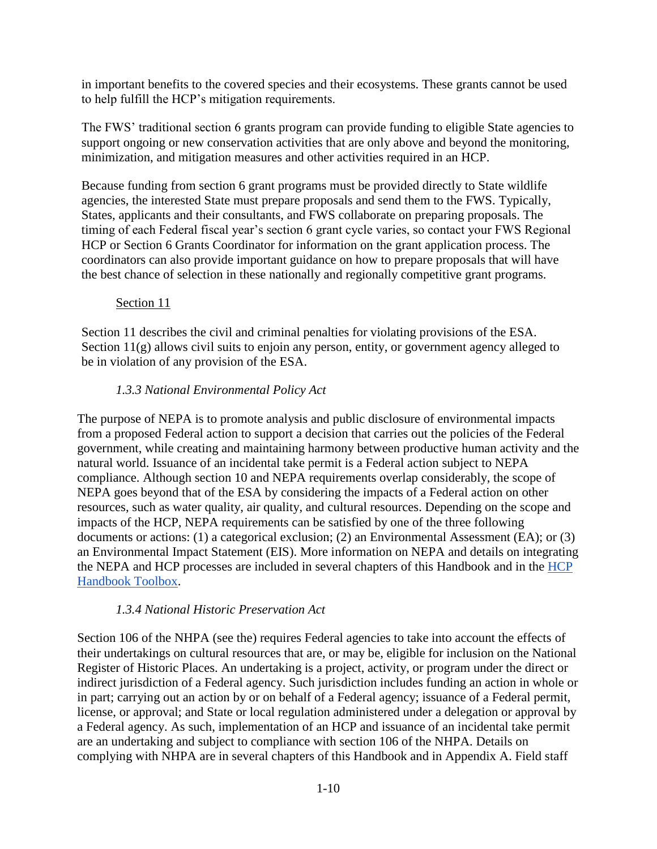in important benefits to the covered species and their ecosystems. These grants cannot be used to help fulfill the HCP's mitigation requirements.

The FWS' traditional section 6 grants program can provide funding to eligible State agencies to support ongoing or new conservation activities that are only above and beyond the monitoring, minimization, and mitigation measures and other activities required in an HCP.

Because funding from section 6 grant programs must be provided directly to State wildlife agencies, the interested State must prepare proposals and send them to the FWS. Typically, States, applicants and their consultants, and FWS collaborate on preparing proposals. The timing of each Federal fiscal year's section 6 grant cycle varies, so contact your FWS Regional HCP or Section 6 Grants Coordinator for information on the grant application process. The coordinators can also provide important guidance on how to prepare proposals that will have the best chance of selection in these nationally and regionally competitive grant programs.

### Section 11

Section 11 describes the civil and criminal penalties for violating provisions of the ESA. Section 11(g) allows civil suits to enjoin any person, entity, or government agency alleged to be in violation of any provision of the ESA.

# *1.3.3 National Environmental Policy Act*

The purpose of NEPA is to promote analysis and public disclosure of environmental impacts from a proposed Federal action to support a decision that carries out the policies of the Federal government, while creating and maintaining harmony between productive human activity and the natural world. Issuance of an incidental take permit is a Federal action subject to NEPA compliance. Although section 10 and NEPA requirements overlap considerably, the scope of NEPA goes beyond that of the ESA by considering the impacts of a Federal action on other resources, such as water quality, air quality, and cultural resources. Depending on the scope and impacts of the HCP, NEPA requirements can be satisfied by one of the three following documents or actions: (1) a categorical exclusion; (2) an Environmental Assessment (EA); or (3) an Environmental Impact Statement (EIS). More information on NEPA and details on integrating the NEPA and HCP processes are included in several chapters of this Handbook and in the [HCP](https://www.fws.gov/endangered/what-we-do/hcp-handbook-toolbox.html#Ch1)  [Handbook Toolbox.](https://www.fws.gov/endangered/what-we-do/hcp-handbook-toolbox.html#Ch1)

### *1.3.4 National Historic Preservation Act*

Section 106 of the NHPA (see the) requires Federal agencies to take into account the effects of their undertakings on cultural resources that are, or may be, eligible for inclusion on the National Register of Historic Places. An undertaking is a project, activity, or program under the direct or indirect jurisdiction of a Federal agency. Such jurisdiction includes funding an action in whole or in part; carrying out an action by or on behalf of a Federal agency; issuance of a Federal permit, license, or approval; and State or local regulation administered under a delegation or approval by a Federal agency. As such, implementation of an HCP and issuance of an incidental take permit are an undertaking and subject to compliance with section 106 of the NHPA. Details on complying with NHPA are in several chapters of this Handbook and in Appendix A. Field staff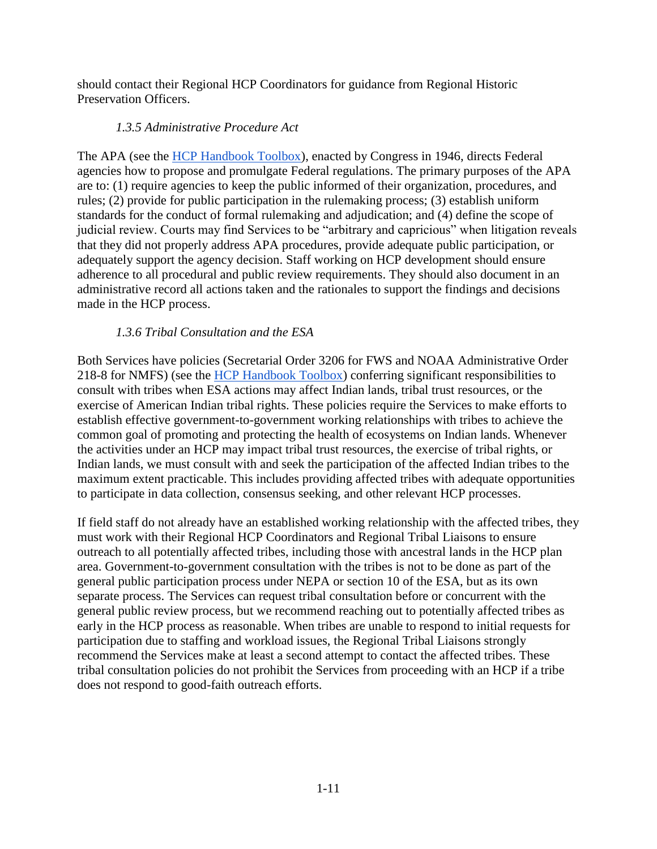should contact their Regional HCP Coordinators for guidance from Regional Historic Preservation Officers.

### *1.3.5 Administrative Procedure Act*

The APA (see the [HCP Handbook Toolbox\)](https://www.fws.gov/endangered/what-we-do/hcp-handbook-toolbox.html#Ch1), enacted by Congress in 1946, directs Federal agencies how to propose and promulgate Federal regulations. The primary purposes of the APA are to: (1) require agencies to keep the public informed of their organization, procedures, and rules; (2) provide for public participation in the rulemaking process; (3) establish uniform standards for the conduct of formal rulemaking and adjudication; and (4) define the scope of judicial review. Courts may find Services to be "arbitrary and capricious" when litigation reveals that they did not properly address APA procedures, provide adequate public participation, or adequately support the agency decision. Staff working on HCP development should ensure adherence to all procedural and public review requirements. They should also document in an administrative record all actions taken and the rationales to support the findings and decisions made in the HCP process.

# *1.3.6 Tribal Consultation and the ESA*

Both Services have policies (Secretarial Order 3206 for FWS and NOAA Administrative Order 218-8 for NMFS) (see the [HCP Handbook Toolbox\)](https://www.fws.gov/endangered/what-we-do/hcp-handbook-toolbox.html#Ch1) conferring significant responsibilities to consult with tribes when ESA actions may affect Indian lands, tribal trust resources, or the exercise of American Indian tribal rights. These policies require the Services to make efforts to establish effective government-to-government working relationships with tribes to achieve the common goal of promoting and protecting the health of ecosystems on Indian lands. Whenever the activities under an HCP may impact tribal trust resources, the exercise of tribal rights, or Indian lands, we must consult with and seek the participation of the affected Indian tribes to the maximum extent practicable. This includes providing affected tribes with adequate opportunities to participate in data collection, consensus seeking, and other relevant HCP processes.

If field staff do not already have an established working relationship with the affected tribes, they must work with their Regional HCP Coordinators and Regional Tribal Liaisons to ensure outreach to all potentially affected tribes, including those with ancestral lands in the HCP plan area. Government-to-government consultation with the tribes is not to be done as part of the general public participation process under NEPA or section 10 of the ESA, but as its own separate process. The Services can request tribal consultation before or concurrent with the general public review process, but we recommend reaching out to potentially affected tribes as early in the HCP process as reasonable. When tribes are unable to respond to initial requests for participation due to staffing and workload issues, the Regional Tribal Liaisons strongly recommend the Services make at least a second attempt to contact the affected tribes. These tribal consultation policies do not prohibit the Services from proceeding with an HCP if a tribe does not respond to good-faith outreach efforts.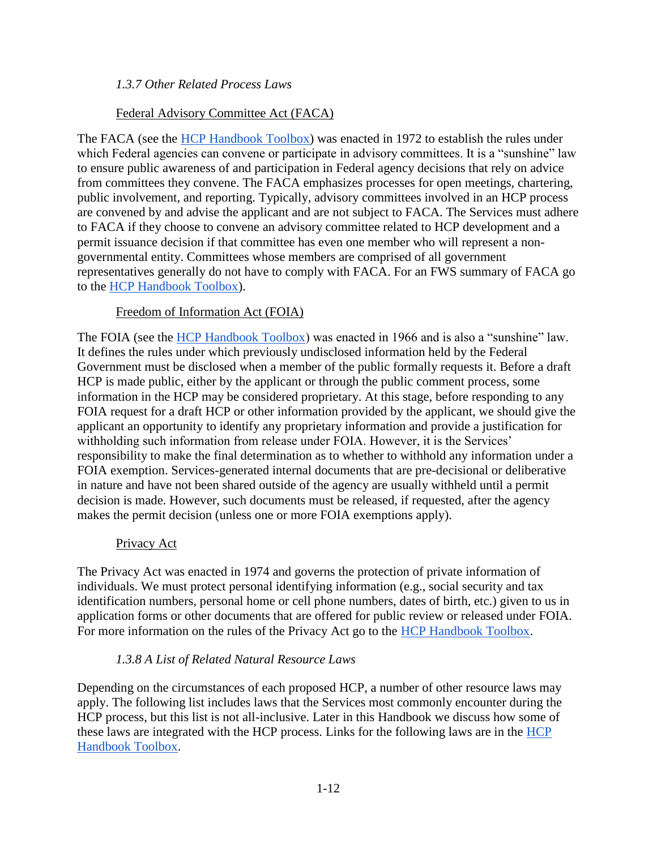### *1.3.7 Other Related Process Laws*

### Federal Advisory Committee Act (FACA)

The FACA (see the [HCP Handbook Toolbox\)](https://www.fws.gov/endangered/what-we-do/hcp-handbook-toolbox.html#Ch1) was enacted in 1972 to establish the rules under which Federal agencies can convene or participate in advisory committees. It is a "sunshine" law to ensure public awareness of and participation in Federal agency decisions that rely on advice from committees they convene. The FACA emphasizes processes for open meetings, chartering, public involvement, and reporting. Typically, advisory committees involved in an HCP process are convened by and advise the applicant and are not subject to FACA. The Services must adhere to FACA if they choose to convene an advisory committee related to HCP development and a permit issuance decision if that committee has even one member who will represent a nongovernmental entity. Committees whose members are comprised of all government representatives generally do not have to comply with FACA. For an FWS summary of FACA go to the [HCP Handbook Toolbox\)](https://www.fws.gov/endangered/what-we-do/hcp-handbook-toolbox.html#Ch1).

### Freedom of Information Act (FOIA)

The FOIA (see the [HCP Handbook Toolbox\)](https://www.fws.gov/endangered/what-we-do/hcp-handbook-toolbox.html#Ch1) was enacted in 1966 and is also a "sunshine" law. It defines the rules under which previously undisclosed information held by the Federal Government must be disclosed when a member of the public formally requests it. Before a draft HCP is made public, either by the applicant or through the public comment process, some information in the HCP may be considered proprietary. At this stage, before responding to any FOIA request for a draft HCP or other information provided by the applicant, we should give the applicant an opportunity to identify any proprietary information and provide a justification for withholding such information from release under FOIA. However, it is the Services' responsibility to make the final determination as to whether to withhold any information under a FOIA exemption. Services-generated internal documents that are pre-decisional or deliberative in nature and have not been shared outside of the agency are usually withheld until a permit decision is made. However, such documents must be released, if requested, after the agency makes the permit decision (unless one or more FOIA exemptions apply).

#### Privacy Act

The Privacy Act was enacted in 1974 and governs the protection of private information of individuals. We must protect personal identifying information (e.g., social security and tax identification numbers, personal home or cell phone numbers, dates of birth, etc.) given to us in application forms or other documents that are offered for public review or released under FOIA. For more information on the rules of the Privacy Act go to the [HCP Handbook Toolbox.](https://www.fws.gov/endangered/what-we-do/hcp-handbook-toolbox.html#Ch1)

### *1.3.8 A List of Related Natural Resource Laws*

Depending on the circumstances of each proposed HCP, a number of other resource laws may apply. The following list includes laws that the Services most commonly encounter during the HCP process, but this list is not all-inclusive. Later in this Handbook we discuss how some of these laws are integrated with the HCP process. Links for the following laws are in the [HCP](https://www.fws.gov/endangered/what-we-do/hcp-handbook-toolbox.html#Ch1)  [Handbook Toolbox.](https://www.fws.gov/endangered/what-we-do/hcp-handbook-toolbox.html#Ch1)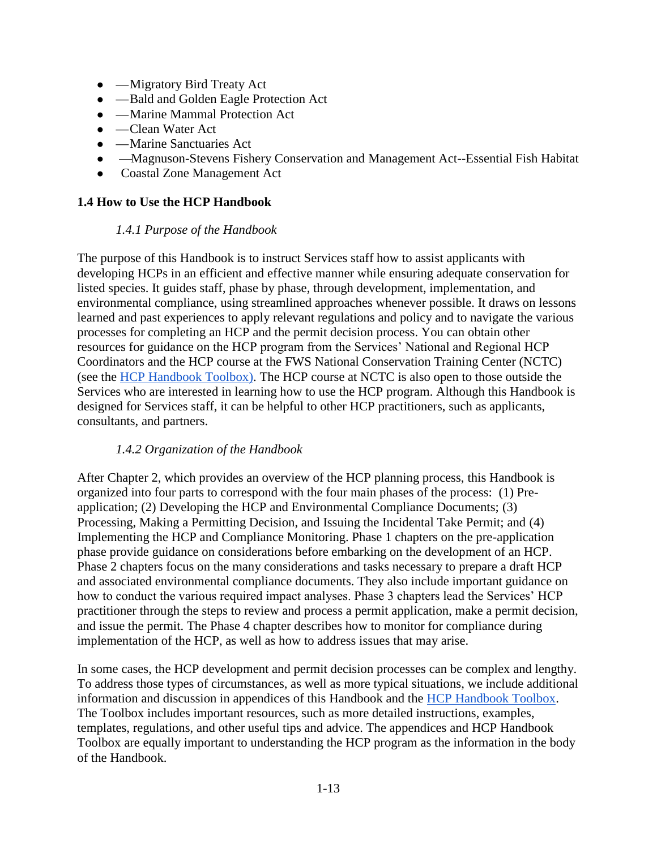- — Migratory Bird Treaty Act
- — Bald and Golden Eagle Protection Act
- — Marine Mammal Protection Act
- — Clean Water Act
- — Marine Sanctuaries Act
- —Magnuson-Stevens Fishery Conservation and Management Act--Essential Fish Habitat
- Coastal Zone Management Act

### **1.4 How to Use the HCP Handbook**

#### *1.4.1 Purpose of the Handbook*

The purpose of this Handbook is to instruct Services staff how to assist applicants with developing HCPs in an efficient and effective manner while ensuring adequate conservation for listed species. It guides staff, phase by phase, through development, implementation, and environmental compliance, using streamlined approaches whenever possible. It draws on lessons learned and past experiences to apply relevant regulations and policy and to navigate the various processes for completing an HCP and the permit decision process. You can obtain other resources for guidance on the HCP program from the Services' National and Regional HCP Coordinators and the HCP course at the FWS National Conservation Training Center (NCTC) (see the [HCP Handbook Toolbox\)](https://www.fws.gov/endangered/what-we-do/hcp-handbook-toolbox.html#Ch1). The HCP course at NCTC is also open to those outside the Services who are interested in learning how to use the HCP program. Although this Handbook is designed for Services staff, it can be helpful to other HCP practitioners, such as applicants, consultants, and partners.

#### *1.4.2 Organization of the Handbook*

After Chapter 2, which provides an overview of the HCP planning process, this Handbook is organized into four parts to correspond with the four main phases of the process: (1) Preapplication; (2) Developing the HCP and Environmental Compliance Documents; (3) Processing, Making a Permitting Decision, and Issuing the Incidental Take Permit; and (4) Implementing the HCP and Compliance Monitoring. Phase 1 chapters on the pre-application phase provide guidance on considerations before embarking on the development of an HCP. Phase 2 chapters focus on the many considerations and tasks necessary to prepare a draft HCP and associated environmental compliance documents. They also include important guidance on how to conduct the various required impact analyses. Phase 3 chapters lead the Services' HCP practitioner through the steps to review and process a permit application, make a permit decision, and issue the permit. The Phase 4 chapter describes how to monitor for compliance during implementation of the HCP, as well as how to address issues that may arise.

In some cases, the HCP development and permit decision processes can be complex and lengthy. To address those types of circumstances, as well as more typical situations, we include additional information and discussion in appendices of this Handbook and the [HCP Handbook Toolbox.](https://www.fws.gov/endangered/what-we-do/hcp-handbook-toolbox.html) The Toolbox includes important resources, such as more detailed instructions, examples, templates, regulations, and other useful tips and advice. The appendices and HCP Handbook Toolbox are equally important to understanding the HCP program as the information in the body of the Handbook.